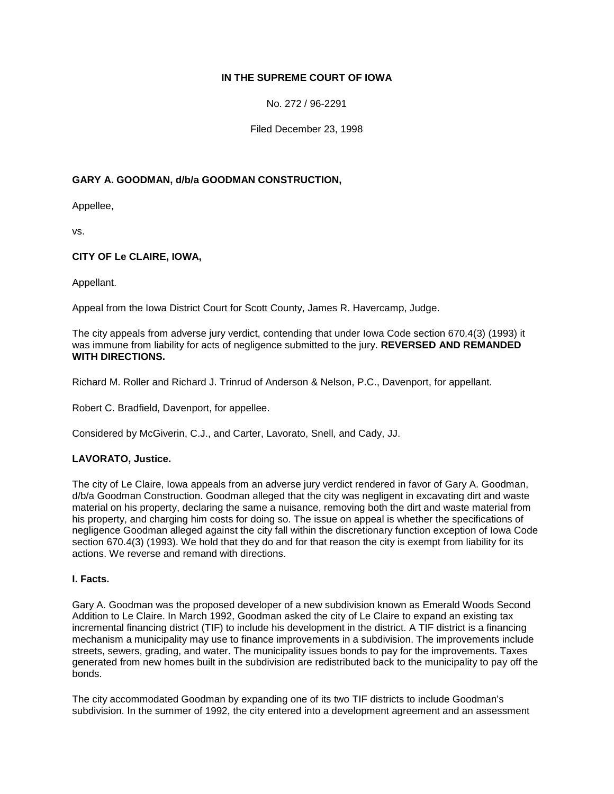# **IN THE SUPREME COURT OF IOWA**

No. 272 / 96-2291

Filed December 23, 1998

# **GARY A. GOODMAN, d/b/a GOODMAN CONSTRUCTION,**

Appellee,

vs.

## **CITY OF Le CLAIRE, IOWA,**

Appellant.

Appeal from the Iowa District Court for Scott County, James R. Havercamp, Judge.

The city appeals from adverse jury verdict, contending that under Iowa Code section 670.4(3) (1993) it was immune from liability for acts of negligence submitted to the jury. **REVERSED AND REMANDED WITH DIRECTIONS.**

Richard M. Roller and Richard J. Trinrud of Anderson & Nelson, P.C., Davenport, for appellant.

Robert C. Bradfield, Davenport, for appellee.

Considered by McGiverin, C.J., and Carter, Lavorato, Snell, and Cady, JJ.

## **LAVORATO, Justice.**

The city of Le Claire, Iowa appeals from an adverse jury verdict rendered in favor of Gary A. Goodman, d/b/a Goodman Construction. Goodman alleged that the city was negligent in excavating dirt and waste material on his property, declaring the same a nuisance, removing both the dirt and waste material from his property, and charging him costs for doing so. The issue on appeal is whether the specifications of negligence Goodman alleged against the city fall within the discretionary function exception of Iowa Code section 670.4(3) (1993). We hold that they do and for that reason the city is exempt from liability for its actions. We reverse and remand with directions.

### **I. Facts.**

Gary A. Goodman was the proposed developer of a new subdivision known as Emerald Woods Second Addition to Le Claire. In March 1992, Goodman asked the city of Le Claire to expand an existing tax incremental financing district (TIF) to include his development in the district. A TIF district is a financing mechanism a municipality may use to finance improvements in a subdivision. The improvements include streets, sewers, grading, and water. The municipality issues bonds to pay for the improvements. Taxes generated from new homes built in the subdivision are redistributed back to the municipality to pay off the bonds.

The city accommodated Goodman by expanding one of its two TIF districts to include Goodman's subdivision. In the summer of 1992, the city entered into a development agreement and an assessment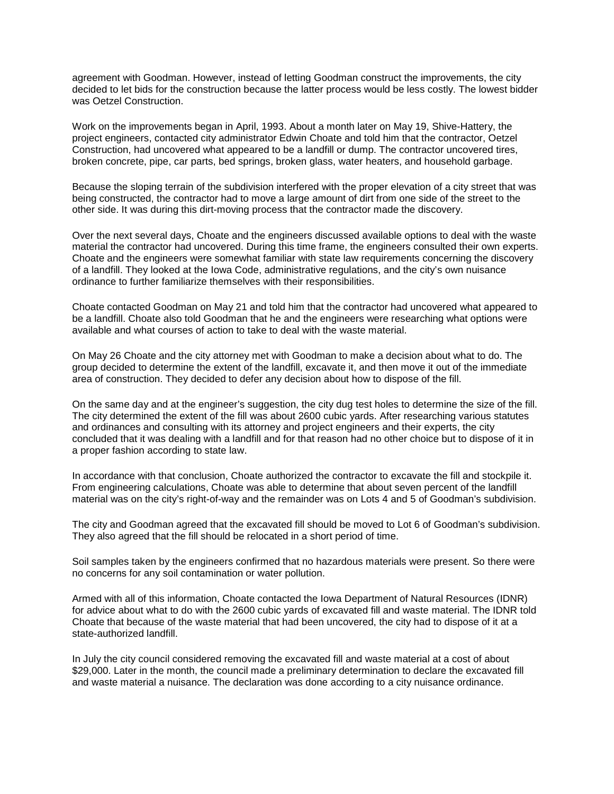agreement with Goodman. However, instead of letting Goodman construct the improvements, the city decided to let bids for the construction because the latter process would be less costly. The lowest bidder was Oetzel Construction.

Work on the improvements began in April, 1993. About a month later on May 19, Shive-Hattery, the project engineers, contacted city administrator Edwin Choate and told him that the contractor, Oetzel Construction, had uncovered what appeared to be a landfill or dump. The contractor uncovered tires, broken concrete, pipe, car parts, bed springs, broken glass, water heaters, and household garbage.

Because the sloping terrain of the subdivision interfered with the proper elevation of a city street that was being constructed, the contractor had to move a large amount of dirt from one side of the street to the other side. It was during this dirt-moving process that the contractor made the discovery.

Over the next several days, Choate and the engineers discussed available options to deal with the waste material the contractor had uncovered. During this time frame, the engineers consulted their own experts. Choate and the engineers were somewhat familiar with state law requirements concerning the discovery of a landfill. They looked at the Iowa Code, administrative regulations, and the city's own nuisance ordinance to further familiarize themselves with their responsibilities.

Choate contacted Goodman on May 21 and told him that the contractor had uncovered what appeared to be a landfill. Choate also told Goodman that he and the engineers were researching what options were available and what courses of action to take to deal with the waste material.

On May 26 Choate and the city attorney met with Goodman to make a decision about what to do. The group decided to determine the extent of the landfill, excavate it, and then move it out of the immediate area of construction. They decided to defer any decision about how to dispose of the fill.

On the same day and at the engineer's suggestion, the city dug test holes to determine the size of the fill. The city determined the extent of the fill was about 2600 cubic yards. After researching various statutes and ordinances and consulting with its attorney and project engineers and their experts, the city concluded that it was dealing with a landfill and for that reason had no other choice but to dispose of it in a proper fashion according to state law.

In accordance with that conclusion, Choate authorized the contractor to excavate the fill and stockpile it. From engineering calculations, Choate was able to determine that about seven percent of the landfill material was on the city's right-of-way and the remainder was on Lots 4 and 5 of Goodman's subdivision.

The city and Goodman agreed that the excavated fill should be moved to Lot 6 of Goodman's subdivision. They also agreed that the fill should be relocated in a short period of time.

Soil samples taken by the engineers confirmed that no hazardous materials were present. So there were no concerns for any soil contamination or water pollution.

Armed with all of this information, Choate contacted the Iowa Department of Natural Resources (IDNR) for advice about what to do with the 2600 cubic yards of excavated fill and waste material. The IDNR told Choate that because of the waste material that had been uncovered, the city had to dispose of it at a state-authorized landfill.

In July the city council considered removing the excavated fill and waste material at a cost of about \$29,000. Later in the month, the council made a preliminary determination to declare the excavated fill and waste material a nuisance. The declaration was done according to a city nuisance ordinance.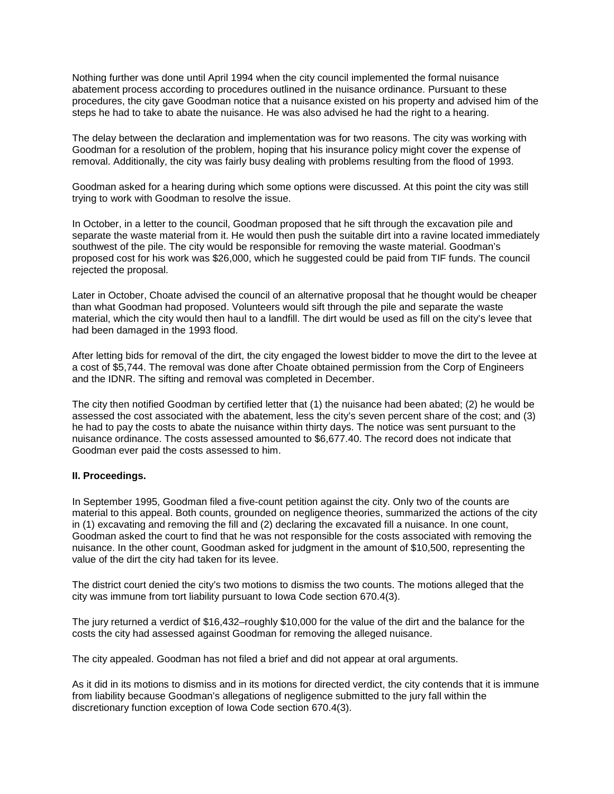Nothing further was done until April 1994 when the city council implemented the formal nuisance abatement process according to procedures outlined in the nuisance ordinance. Pursuant to these procedures, the city gave Goodman notice that a nuisance existed on his property and advised him of the steps he had to take to abate the nuisance. He was also advised he had the right to a hearing.

The delay between the declaration and implementation was for two reasons. The city was working with Goodman for a resolution of the problem, hoping that his insurance policy might cover the expense of removal. Additionally, the city was fairly busy dealing with problems resulting from the flood of 1993.

Goodman asked for a hearing during which some options were discussed. At this point the city was still trying to work with Goodman to resolve the issue.

In October, in a letter to the council, Goodman proposed that he sift through the excavation pile and separate the waste material from it. He would then push the suitable dirt into a ravine located immediately southwest of the pile. The city would be responsible for removing the waste material. Goodman's proposed cost for his work was \$26,000, which he suggested could be paid from TIF funds. The council rejected the proposal.

Later in October, Choate advised the council of an alternative proposal that he thought would be cheaper than what Goodman had proposed. Volunteers would sift through the pile and separate the waste material, which the city would then haul to a landfill. The dirt would be used as fill on the city's levee that had been damaged in the 1993 flood.

After letting bids for removal of the dirt, the city engaged the lowest bidder to move the dirt to the levee at a cost of \$5,744. The removal was done after Choate obtained permission from the Corp of Engineers and the IDNR. The sifting and removal was completed in December.

The city then notified Goodman by certified letter that (1) the nuisance had been abated; (2) he would be assessed the cost associated with the abatement, less the city's seven percent share of the cost; and (3) he had to pay the costs to abate the nuisance within thirty days. The notice was sent pursuant to the nuisance ordinance. The costs assessed amounted to \$6,677.40. The record does not indicate that Goodman ever paid the costs assessed to him.

### **II. Proceedings.**

In September 1995, Goodman filed a five-count petition against the city. Only two of the counts are material to this appeal. Both counts, grounded on negligence theories, summarized the actions of the city in (1) excavating and removing the fill and (2) declaring the excavated fill a nuisance. In one count, Goodman asked the court to find that he was not responsible for the costs associated with removing the nuisance. In the other count, Goodman asked for judgment in the amount of \$10,500, representing the value of the dirt the city had taken for its levee.

The district court denied the city's two motions to dismiss the two counts. The motions alleged that the city was immune from tort liability pursuant to Iowa Code section 670.4(3).

The jury returned a verdict of \$16,432–roughly \$10,000 for the value of the dirt and the balance for the costs the city had assessed against Goodman for removing the alleged nuisance.

The city appealed. Goodman has not filed a brief and did not appear at oral arguments.

As it did in its motions to dismiss and in its motions for directed verdict, the city contends that it is immune from liability because Goodman's allegations of negligence submitted to the jury fall within the discretionary function exception of Iowa Code section 670.4(3).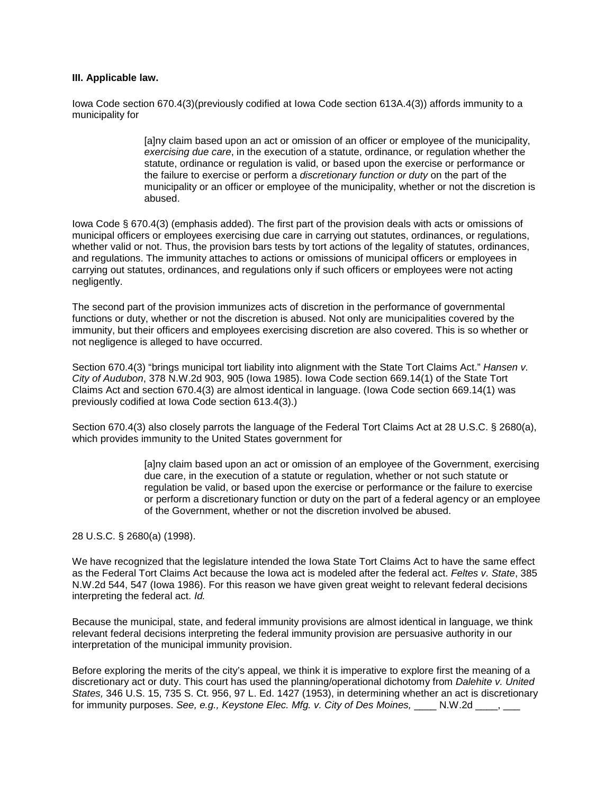### **III. Applicable law.**

Iowa Code section 670.4(3)(previously codified at Iowa Code section 613A.4(3)) affords immunity to a municipality for

> [a]ny claim based upon an act or omission of an officer or employee of the municipality, *exercising due care*, in the execution of a statute, ordinance, or regulation whether the statute, ordinance or regulation is valid, or based upon the exercise or performance or the failure to exercise or perform a *discretionary function or duty* on the part of the municipality or an officer or employee of the municipality, whether or not the discretion is abused.

Iowa Code § 670.4(3) (emphasis added). The first part of the provision deals with acts or omissions of municipal officers or employees exercising due care in carrying out statutes, ordinances, or regulations, whether valid or not. Thus, the provision bars tests by tort actions of the legality of statutes, ordinances, and regulations. The immunity attaches to actions or omissions of municipal officers or employees in carrying out statutes, ordinances, and regulations only if such officers or employees were not acting negligently.

The second part of the provision immunizes acts of discretion in the performance of governmental functions or duty, whether or not the discretion is abused. Not only are municipalities covered by the immunity, but their officers and employees exercising discretion are also covered. This is so whether or not negligence is alleged to have occurred.

Section 670.4(3) "brings municipal tort liability into alignment with the State Tort Claims Act." *Hansen v. City of Audubon*, 378 N.W.2d 903, 905 (Iowa 1985). Iowa Code section 669.14(1) of the State Tort Claims Act and section 670.4(3) are almost identical in language. (Iowa Code section 669.14(1) was previously codified at Iowa Code section 613.4(3).)

Section 670.4(3) also closely parrots the language of the Federal Tort Claims Act at 28 U.S.C. § 2680(a), which provides immunity to the United States government for

> [a]ny claim based upon an act or omission of an employee of the Government, exercising due care, in the execution of a statute or regulation, whether or not such statute or regulation be valid, or based upon the exercise or performance or the failure to exercise or perform a discretionary function or duty on the part of a federal agency or an employee of the Government, whether or not the discretion involved be abused.

28 U.S.C. § 2680(a) (1998).

We have recognized that the legislature intended the Iowa State Tort Claims Act to have the same effect as the Federal Tort Claims Act because the Iowa act is modeled after the federal act. *Feltes v. State*, 385 N.W.2d 544, 547 (Iowa 1986). For this reason we have given great weight to relevant federal decisions interpreting the federal act. *Id.*

Because the municipal, state, and federal immunity provisions are almost identical in language, we think relevant federal decisions interpreting the federal immunity provision are persuasive authority in our interpretation of the municipal immunity provision.

Before exploring the merits of the city's appeal, we think it is imperative to explore first the meaning of a discretionary act or duty. This court has used the planning/operational dichotomy from *Dalehite v. United States,* 346 U.S. 15, 735 S. Ct. 956, 97 L. Ed. 1427 (1953), in determining whether an act is discretionary for immunity purposes. *See, e.g., Keystone Elec. Mfg. v. City of Des Moines, \_\_\_\_ N.W.2d \_\_\_\_, \_\_\_*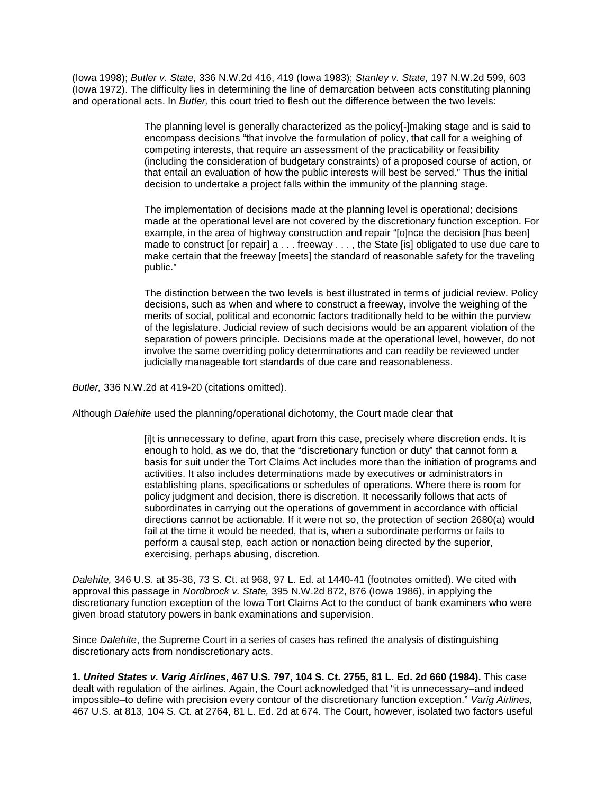(Iowa 1998); *Butler v. State,* 336 N.W.2d 416, 419 (Iowa 1983); *Stanley v. State,* 197 N.W.2d 599, 603 (Iowa 1972). The difficulty lies in determining the line of demarcation between acts constituting planning and operational acts. In *Butler,* this court tried to flesh out the difference between the two levels:

> The planning level is generally characterized as the policy[-]making stage and is said to encompass decisions "that involve the formulation of policy, that call for a weighing of competing interests, that require an assessment of the practicability or feasibility (including the consideration of budgetary constraints) of a proposed course of action, or that entail an evaluation of how the public interests will best be served." Thus the initial decision to undertake a project falls within the immunity of the planning stage.

The implementation of decisions made at the planning level is operational; decisions made at the operational level are not covered by the discretionary function exception. For example, in the area of highway construction and repair "[o]nce the decision [has been] made to construct [or repair] a . . . freeway . . . , the State [is] obligated to use due care to make certain that the freeway [meets] the standard of reasonable safety for the traveling public."

The distinction between the two levels is best illustrated in terms of judicial review. Policy decisions, such as when and where to construct a freeway, involve the weighing of the merits of social, political and economic factors traditionally held to be within the purview of the legislature. Judicial review of such decisions would be an apparent violation of the separation of powers principle. Decisions made at the operational level, however, do not involve the same overriding policy determinations and can readily be reviewed under judicially manageable tort standards of due care and reasonableness.

*Butler,* 336 N.W.2d at 419-20 (citations omitted).

Although *Dalehite* used the planning/operational dichotomy, the Court made clear that

[i]t is unnecessary to define, apart from this case, precisely where discretion ends. It is enough to hold, as we do, that the "discretionary function or duty" that cannot form a basis for suit under the Tort Claims Act includes more than the initiation of programs and activities. It also includes determinations made by executives or administrators in establishing plans, specifications or schedules of operations. Where there is room for policy judgment and decision, there is discretion. It necessarily follows that acts of subordinates in carrying out the operations of government in accordance with official directions cannot be actionable. If it were not so, the protection of section 2680(a) would fail at the time it would be needed, that is, when a subordinate performs or fails to perform a causal step, each action or nonaction being directed by the superior, exercising, perhaps abusing, discretion.

*Dalehite,* 346 U.S. at 35-36, 73 S. Ct. at 968, 97 L. Ed. at 1440-41 (footnotes omitted). We cited with approval this passage in *Nordbrock v. State,* 395 N.W.2d 872, 876 (Iowa 1986), in applying the discretionary function exception of the Iowa Tort Claims Act to the conduct of bank examiners who were given broad statutory powers in bank examinations and supervision.

Since *Dalehite*, the Supreme Court in a series of cases has refined the analysis of distinguishing discretionary acts from nondiscretionary acts.

**1.** *United States v. Varig Airlines***, 467 U.S. 797, 104 S. Ct. 2755, 81 L. Ed. 2d 660 (1984).** This case dealt with regulation of the airlines. Again, the Court acknowledged that "it is unnecessary–and indeed impossible–to define with precision every contour of the discretionary function exception." *Varig Airlines,*  467 U.S. at 813, 104 S. Ct. at 2764, 81 L. Ed. 2d at 674. The Court, however, isolated two factors useful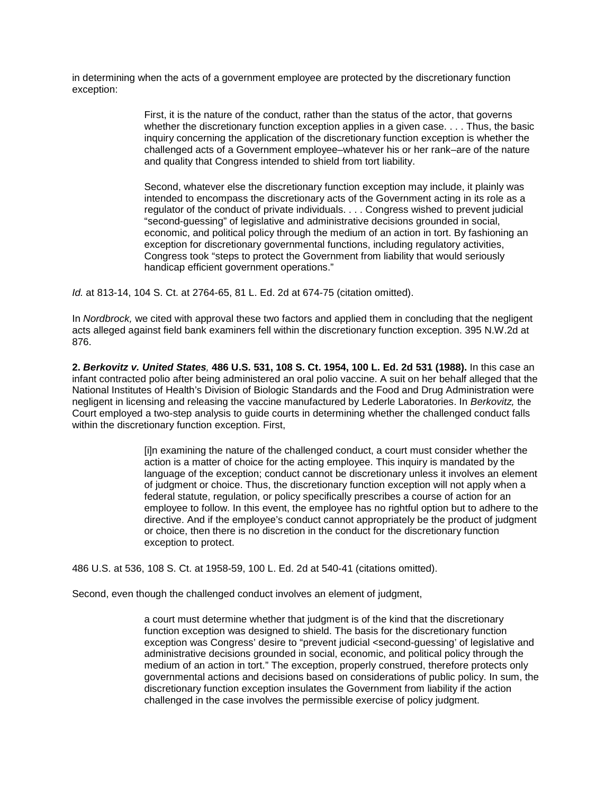in determining when the acts of a government employee are protected by the discretionary function exception:

> First, it is the nature of the conduct, rather than the status of the actor, that governs whether the discretionary function exception applies in a given case. . . . Thus, the basic inquiry concerning the application of the discretionary function exception is whether the challenged acts of a Government employee–whatever his or her rank–are of the nature and quality that Congress intended to shield from tort liability.

Second, whatever else the discretionary function exception may include, it plainly was intended to encompass the discretionary acts of the Government acting in its role as a regulator of the conduct of private individuals. . . . Congress wished to prevent judicial "second-guessing" of legislative and administrative decisions grounded in social, economic, and political policy through the medium of an action in tort. By fashioning an exception for discretionary governmental functions, including regulatory activities, Congress took "steps to protect the Government from liability that would seriously handicap efficient government operations."

*Id.* at 813-14, 104 S. Ct. at 2764-65, 81 L. Ed. 2d at 674-75 (citation omitted).

In *Nordbrock,* we cited with approval these two factors and applied them in concluding that the negligent acts alleged against field bank examiners fell within the discretionary function exception. 395 N.W.2d at 876.

**2.** *Berkovitz v. United States,* **486 U.S. 531, 108 S. Ct. 1954, 100 L. Ed. 2d 531 (1988).** In this case an infant contracted polio after being administered an oral polio vaccine. A suit on her behalf alleged that the National Institutes of Health's Division of Biologic Standards and the Food and Drug Administration were negligent in licensing and releasing the vaccine manufactured by Lederle Laboratories. In *Berkovitz,* the Court employed a two-step analysis to guide courts in determining whether the challenged conduct falls within the discretionary function exception. First,

> [i]n examining the nature of the challenged conduct, a court must consider whether the action is a matter of choice for the acting employee. This inquiry is mandated by the language of the exception; conduct cannot be discretionary unless it involves an element of judgment or choice. Thus, the discretionary function exception will not apply when a federal statute, regulation, or policy specifically prescribes a course of action for an employee to follow. In this event, the employee has no rightful option but to adhere to the directive. And if the employee's conduct cannot appropriately be the product of judgment or choice, then there is no discretion in the conduct for the discretionary function exception to protect.

486 U.S. at 536, 108 S. Ct. at 1958-59, 100 L. Ed. 2d at 540-41 (citations omitted).

Second, even though the challenged conduct involves an element of judgment,

a court must determine whether that judgment is of the kind that the discretionary function exception was designed to shield. The basis for the discretionary function exception was Congress' desire to "prevent judicial <second-guessing' of legislative and administrative decisions grounded in social, economic, and political policy through the medium of an action in tort." The exception, properly construed, therefore protects only governmental actions and decisions based on considerations of public policy. In sum, the discretionary function exception insulates the Government from liability if the action challenged in the case involves the permissible exercise of policy judgment.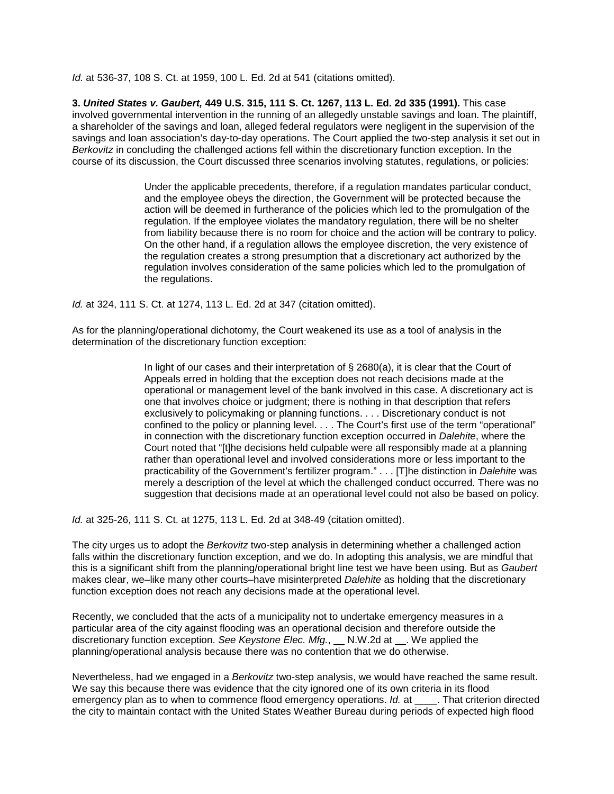*Id.* at 536-37, 108 S. Ct. at 1959, 100 L. Ed. 2d at 541 (citations omitted).

**3.** *United States v. Gaubert,* **449 U.S. 315, 111 S. Ct. 1267, 113 L. Ed. 2d 335 (1991).** This case involved governmental intervention in the running of an allegedly unstable savings and loan. The plaintiff, a shareholder of the savings and loan, alleged federal regulators were negligent in the supervision of the savings and loan association's day-to-day operations. The Court applied the two-step analysis it set out in *Berkovitz* in concluding the challenged actions fell within the discretionary function exception. In the course of its discussion, the Court discussed three scenarios involving statutes, regulations, or policies:

> Under the applicable precedents, therefore, if a regulation mandates particular conduct, and the employee obeys the direction, the Government will be protected because the action will be deemed in furtherance of the policies which led to the promulgation of the regulation. If the employee violates the mandatory regulation, there will be no shelter from liability because there is no room for choice and the action will be contrary to policy. On the other hand, if a regulation allows the employee discretion, the very existence of the regulation creates a strong presumption that a discretionary act authorized by the regulation involves consideration of the same policies which led to the promulgation of the regulations.

*Id.* at 324, 111 S. Ct. at 1274, 113 L. Ed. 2d at 347 (citation omitted).

As for the planning/operational dichotomy, the Court weakened its use as a tool of analysis in the determination of the discretionary function exception:

> In light of our cases and their interpretation of § 2680(a), it is clear that the Court of Appeals erred in holding that the exception does not reach decisions made at the operational or management level of the bank involved in this case. A discretionary act is one that involves choice or judgment; there is nothing in that description that refers exclusively to policymaking or planning functions. . . . Discretionary conduct is not confined to the policy or planning level. . . . The Court's first use of the term "operational" in connection with the discretionary function exception occurred in *Dalehite*, where the Court noted that "[t]he decisions held culpable were all responsibly made at a planning rather than operational level and involved considerations more or less important to the practicability of the Government's fertilizer program." . . . [T]he distinction in *Dalehite* was merely a description of the level at which the challenged conduct occurred. There was no suggestion that decisions made at an operational level could not also be based on policy.

*Id.* at 325-26, 111 S. Ct. at 1275, 113 L. Ed. 2d at 348-49 (citation omitted).

The city urges us to adopt the *Berkovitz* two-step analysis in determining whether a challenged action falls within the discretionary function exception, and we do. In adopting this analysis, we are mindful that this is a significant shift from the planning/operational bright line test we have been using. But as *Gaubert*  makes clear, we–like many other courts–have misinterpreted *Dalehite* as holding that the discretionary function exception does not reach any decisions made at the operational level.

Recently, we concluded that the acts of a municipality not to undertake emergency measures in a particular area of the city against flooding was an operational decision and therefore outside the discretionary function exception. See Keystone Elec. Mfg., 
Solved at 
outer applied the planning/operational analysis because there was no contention that we do otherwise.

Nevertheless, had we engaged in a *Berkovitz* two-step analysis, we would have reached the same result. We say this because there was evidence that the city ignored one of its own criteria in its flood emergency plan as to when to commence flood emergency operations. *Id.* at \_\_\_\_. That criterion directed the city to maintain contact with the United States Weather Bureau during periods of expected high flood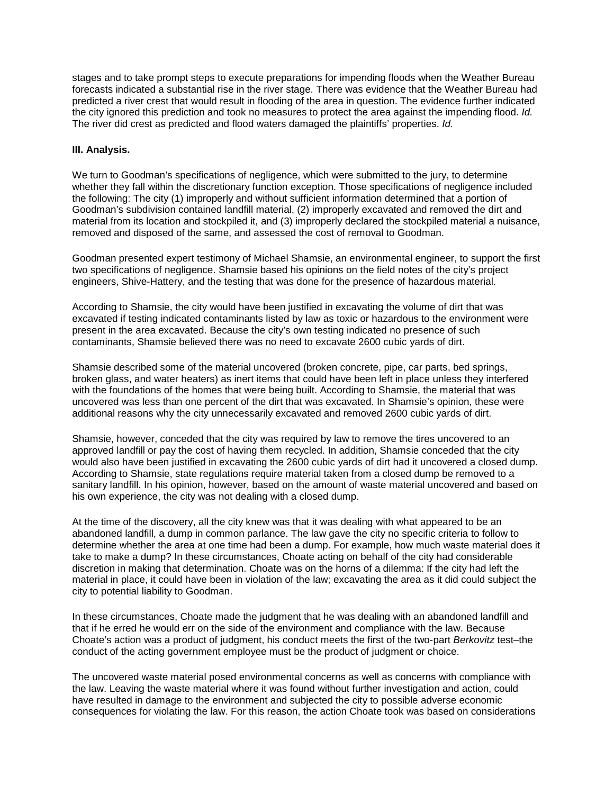stages and to take prompt steps to execute preparations for impending floods when the Weather Bureau forecasts indicated a substantial rise in the river stage. There was evidence that the Weather Bureau had predicted a river crest that would result in flooding of the area in question. The evidence further indicated the city ignored this prediction and took no measures to protect the area against the impending flood. *Id.*  The river did crest as predicted and flood waters damaged the plaintiffs' properties. *Id.*

#### **III. Analysis.**

We turn to Goodman's specifications of negligence, which were submitted to the jury, to determine whether they fall within the discretionary function exception. Those specifications of negligence included the following: The city (1) improperly and without sufficient information determined that a portion of Goodman's subdivision contained landfill material, (2) improperly excavated and removed the dirt and material from its location and stockpiled it, and (3) improperly declared the stockpiled material a nuisance, removed and disposed of the same, and assessed the cost of removal to Goodman.

Goodman presented expert testimony of Michael Shamsie, an environmental engineer, to support the first two specifications of negligence. Shamsie based his opinions on the field notes of the city's project engineers, Shive-Hattery, and the testing that was done for the presence of hazardous material.

According to Shamsie, the city would have been justified in excavating the volume of dirt that was excavated if testing indicated contaminants listed by law as toxic or hazardous to the environment were present in the area excavated. Because the city's own testing indicated no presence of such contaminants, Shamsie believed there was no need to excavate 2600 cubic yards of dirt.

Shamsie described some of the material uncovered (broken concrete, pipe, car parts, bed springs, broken glass, and water heaters) as inert items that could have been left in place unless they interfered with the foundations of the homes that were being built. According to Shamsie, the material that was uncovered was less than one percent of the dirt that was excavated. In Shamsie's opinion, these were additional reasons why the city unnecessarily excavated and removed 2600 cubic yards of dirt.

Shamsie, however, conceded that the city was required by law to remove the tires uncovered to an approved landfill or pay the cost of having them recycled. In addition, Shamsie conceded that the city would also have been justified in excavating the 2600 cubic yards of dirt had it uncovered a closed dump. According to Shamsie, state regulations require material taken from a closed dump be removed to a sanitary landfill. In his opinion, however, based on the amount of waste material uncovered and based on his own experience, the city was not dealing with a closed dump.

At the time of the discovery, all the city knew was that it was dealing with what appeared to be an abandoned landfill, a dump in common parlance. The law gave the city no specific criteria to follow to determine whether the area at one time had been a dump. For example, how much waste material does it take to make a dump? In these circumstances, Choate acting on behalf of the city had considerable discretion in making that determination. Choate was on the horns of a dilemma: If the city had left the material in place, it could have been in violation of the law; excavating the area as it did could subject the city to potential liability to Goodman.

In these circumstances, Choate made the judgment that he was dealing with an abandoned landfill and that if he erred he would err on the side of the environment and compliance with the law. Because Choate's action was a product of judgment, his conduct meets the first of the two-part *Berkovitz* test–the conduct of the acting government employee must be the product of judgment or choice.

The uncovered waste material posed environmental concerns as well as concerns with compliance with the law. Leaving the waste material where it was found without further investigation and action, could have resulted in damage to the environment and subjected the city to possible adverse economic consequences for violating the law. For this reason, the action Choate took was based on considerations